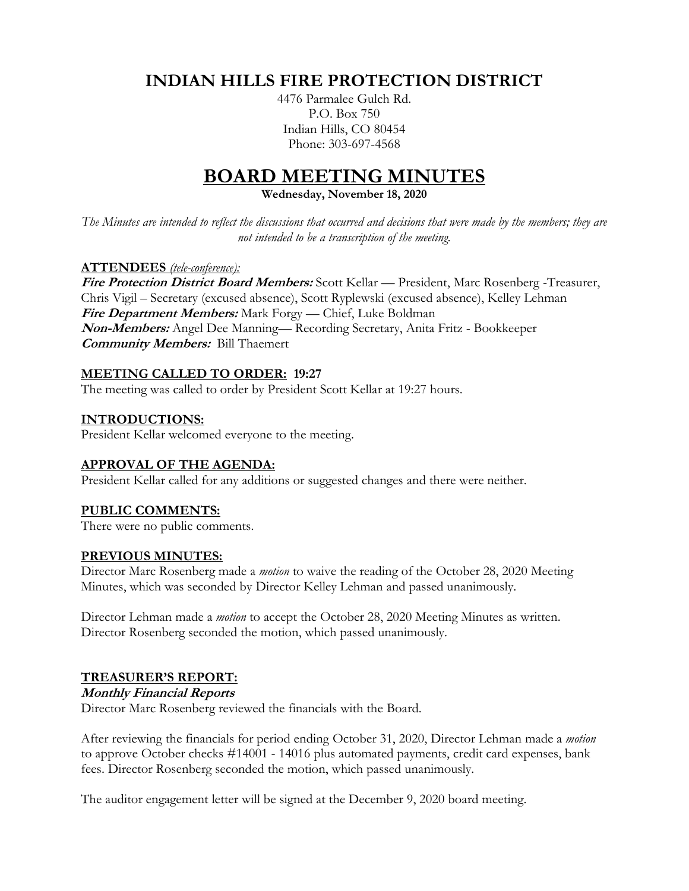# **INDIAN HILLS FIRE PROTECTION DISTRICT**

4476 Parmalee Gulch Rd. P.O. Box 750 Indian Hills, CO 80454 Phone: 303-697-4568

# **BOARD MEETING MINUTES**

**Wednesday, November 18, 2020**

*The Minutes are intended to reflect the discussions that occurred and decisions that were made by the members; they are not intended to be a transcription of the meeting.*

#### **ATTENDEES** *(tele-conference):*

**Fire Protection District Board Members:** Scott Kellar — President, Marc Rosenberg -Treasurer, Chris Vigil – Secretary (excused absence), Scott Ryplewski (excused absence), Kelley Lehman **Fire Department Members:** Mark Forgy — Chief, Luke Boldman **Non-Members:** Angel Dee Manning— Recording Secretary, Anita Fritz - Bookkeeper **Community Members:** Bill Thaemert

## **MEETING CALLED TO ORDER: 19:27**

The meeting was called to order by President Scott Kellar at 19:27 hours.

#### **INTRODUCTIONS:**

President Kellar welcomed everyone to the meeting.

#### **APPROVAL OF THE AGENDA:**

President Kellar called for any additions or suggested changes and there were neither.

# **PUBLIC COMMENTS:**

There were no public comments.

#### **PREVIOUS MINUTES:**

Director Marc Rosenberg made a *motion* to waive the reading of the October 28, 2020 Meeting Minutes, which was seconded by Director Kelley Lehman and passed unanimously.

Director Lehman made a *motion* to accept the October 28, 2020 Meeting Minutes as written. Director Rosenberg seconded the motion, which passed unanimously.

#### **TREASURER'S REPORT:**

#### **Monthly Financial Reports**

Director Marc Rosenberg reviewed the financials with the Board.

After reviewing the financials for period ending October 31, 2020, Director Lehman made a *motion* to approve October checks #14001 - 14016 plus automated payments, credit card expenses, bank fees. Director Rosenberg seconded the motion, which passed unanimously.

The auditor engagement letter will be signed at the December 9, 2020 board meeting.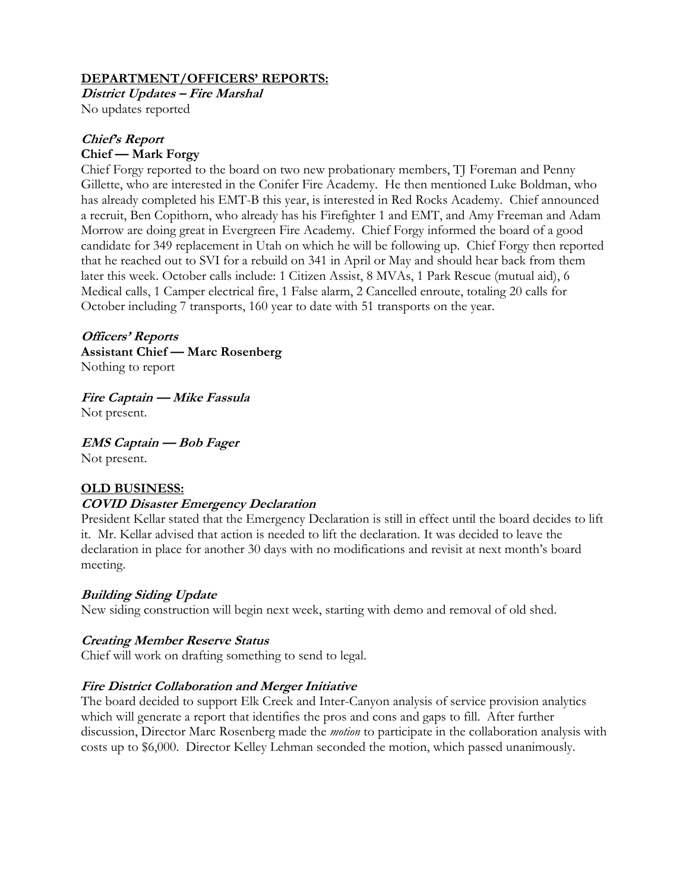## **DEPARTMENT/OFFICERS' REPORTS:**

**District Updates – Fire Marshal** No updates reported

## **Chief's Report Chief — Mark Forgy**

Chief Forgy reported to the board on two new probationary members, TJ Foreman and Penny Gillette, who are interested in the Conifer Fire Academy. He then mentioned Luke Boldman, who has already completed his EMT-B this year, is interested in Red Rocks Academy. Chief announced a recruit, Ben Copithorn, who already has his Firefighter 1 and EMT, and Amy Freeman and Adam Morrow are doing great in Evergreen Fire Academy. Chief Forgy informed the board of a good candidate for 349 replacement in Utah on which he will be following up. Chief Forgy then reported that he reached out to SVI for a rebuild on 341 in April or May and should hear back from them later this week. October calls include: 1 Citizen Assist, 8 MVAs, 1 Park Rescue (mutual aid), 6 Medical calls, 1 Camper electrical fire, 1 False alarm, 2 Cancelled enroute, totaling 20 calls for October including 7 transports, 160 year to date with 51 transports on the year.

**Officers' Reports Assistant Chief — Marc Rosenberg** Nothing to report

**Fire Captain — Mike Fassula** Not present.

**EMS Captain — Bob Fager** Not present.

# **OLD BUSINESS:**

# **COVID Disaster Emergency Declaration**

President Kellar stated that the Emergency Declaration is still in effect until the board decides to lift it. Mr. Kellar advised that action is needed to lift the declaration. It was decided to leave the declaration in place for another 30 days with no modifications and revisit at next month's board meeting.

# **Building Siding Update**

New siding construction will begin next week, starting with demo and removal of old shed.

# **Creating Member Reserve Status**

Chief will work on drafting something to send to legal.

# **Fire District Collaboration and Merger Initiative**

The board decided to support Elk Creek and Inter-Canyon analysis of service provision analytics which will generate a report that identifies the pros and cons and gaps to fill. After further discussion, Director Marc Rosenberg made the *motion* to participate in the collaboration analysis with costs up to \$6,000. Director Kelley Lehman seconded the motion, which passed unanimously.